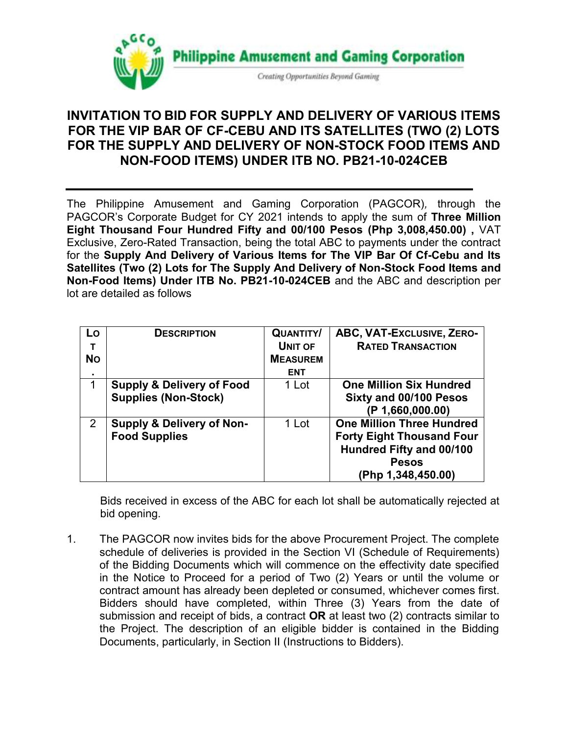

## **INVITATION TO BID FOR SUPPLY AND DELIVERY OF VARIOUS ITEMS FOR THE VIP BAR OF CF-CEBU AND ITS SATELLITES (TWO (2) LOTS FOR THE SUPPLY AND DELIVERY OF NON-STOCK FOOD ITEMS AND NON-FOOD ITEMS) UNDER ITB NO. PB21-10-024CEB**

The Philippine Amusement and Gaming Corporation (PAGCOR)*,* through the PAGCOR's Corporate Budget for CY 2021 intends to apply the sum of **Three Million Eight Thousand Four Hundred Fifty and 00/100 Pesos (Php 3,008,450.00) ,** VAT Exclusive, Zero-Rated Transaction, being the total ABC to payments under the contract for the **Supply And Delivery of Various Items for The VIP Bar Of Cf-Cebu and Its Satellites (Two (2) Lots for The Supply And Delivery of Non-Stock Food Items and Non-Food Items) Under ITB No. PB21-10-024CEB** and the ABC and description per lot are detailed as follows

| Lo<br>т   | <b>DESCRIPTION</b>                   | <b>QUANTITY/</b><br><b>UNIT OF</b> | ABC, VAT-EXCLUSIVE, ZERO-<br><b>RATED TRANSACTION</b> |
|-----------|--------------------------------------|------------------------------------|-------------------------------------------------------|
| <b>No</b> |                                      | <b>MEASUREM</b>                    |                                                       |
| ٠         |                                      | <b>ENT</b>                         |                                                       |
| 1         | <b>Supply &amp; Delivery of Food</b> | 1 Lot                              | <b>One Million Six Hundred</b>                        |
|           | <b>Supplies (Non-Stock)</b>          |                                    | Sixty and 00/100 Pesos                                |
|           |                                      |                                    | (P 1,660,000.00)                                      |
| 2         | <b>Supply &amp; Delivery of Non-</b> | 1 Lot                              | <b>One Million Three Hundred</b>                      |
|           | <b>Food Supplies</b>                 |                                    | <b>Forty Eight Thousand Four</b>                      |
|           |                                      |                                    | Hundred Fifty and 00/100                              |
|           |                                      |                                    | <b>Pesos</b>                                          |
|           |                                      |                                    | (Php 1,348,450.00)                                    |

Bids received in excess of the ABC for each lot shall be automatically rejected at bid opening.

1. The PAGCOR now invites bids for the above Procurement Project. The complete schedule of deliveries is provided in the Section VI (Schedule of Requirements) of the Bidding Documents which will commence on the effectivity date specified in the Notice to Proceed for a period of Two (2) Years or until the volume or contract amount has already been depleted or consumed, whichever comes first. Bidders should have completed, within Three (3) Years from the date of submission and receipt of bids, a contract **OR** at least two (2) contracts similar to the Project. The description of an eligible bidder is contained in the Bidding Documents, particularly, in Section II (Instructions to Bidders).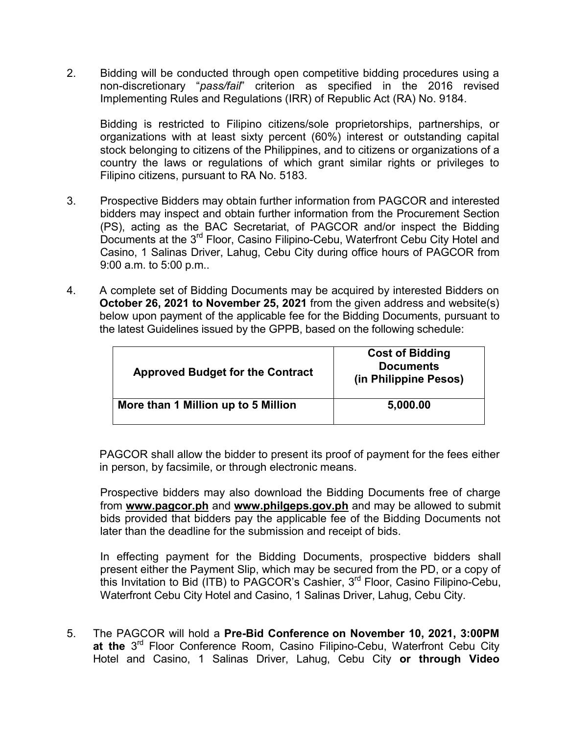2. Bidding will be conducted through open competitive bidding procedures using a non-discretionary "*pass/fail*" criterion as specified in the 2016 revised Implementing Rules and Regulations (IRR) of Republic Act (RA) No. 9184.

Bidding is restricted to Filipino citizens/sole proprietorships, partnerships, or organizations with at least sixty percent (60%) interest or outstanding capital stock belonging to citizens of the Philippines, and to citizens or organizations of a country the laws or regulations of which grant similar rights or privileges to Filipino citizens, pursuant to RA No. 5183.

- 3. Prospective Bidders may obtain further information from PAGCOR and interested bidders may inspect and obtain further information from the Procurement Section (PS), acting as the BAC Secretariat, of PAGCOR and/or inspect the Bidding Documents at the 3<sup>rd</sup> Floor, Casino Filipino-Cebu, Waterfront Cebu City Hotel and Casino, 1 Salinas Driver, Lahug, Cebu City during office hours of PAGCOR from 9:00 a.m. to 5:00 p.m..
- 4. A complete set of Bidding Documents may be acquired by interested Bidders on **October 26, 2021 to November 25, 2021** from the given address and website(s) below upon payment of the applicable fee for the Bidding Documents, pursuant to the latest Guidelines issued by the GPPB, based on the following schedule:

| <b>Approved Budget for the Contract</b> | <b>Cost of Bidding</b><br><b>Documents</b><br>(in Philippine Pesos) |
|-----------------------------------------|---------------------------------------------------------------------|
| More than 1 Million up to 5 Million     | 5,000.00                                                            |

PAGCOR shall allow the bidder to present its proof of payment for the fees either in person, by facsimile, or through electronic means.

Prospective bidders may also download the Bidding Documents free of charge from **[www.pagcor.ph](http://www.pagcor.ph/)** and **www.philgeps.gov.ph** and may be allowed to submit bids provided that bidders pay the applicable fee of the Bidding Documents not later than the deadline for the submission and receipt of bids.

In effecting payment for the Bidding Documents, prospective bidders shall present either the Payment Slip, which may be secured from the PD, or a copy of this Invitation to Bid (ITB) to PAGCOR's Cashier,  $3^{\text{rd}}$  Floor, Casino Filipino-Cebu, Waterfront Cebu City Hotel and Casino, 1 Salinas Driver, Lahug, Cebu City.

5. The PAGCOR will hold a **Pre-Bid Conference on November 10, 2021, 3:00PM**  at the 3<sup>rd</sup> Floor Conference Room, Casino Filipino-Cebu, Waterfront Cebu City Hotel and Casino, 1 Salinas Driver, Lahug, Cebu City **or through Video**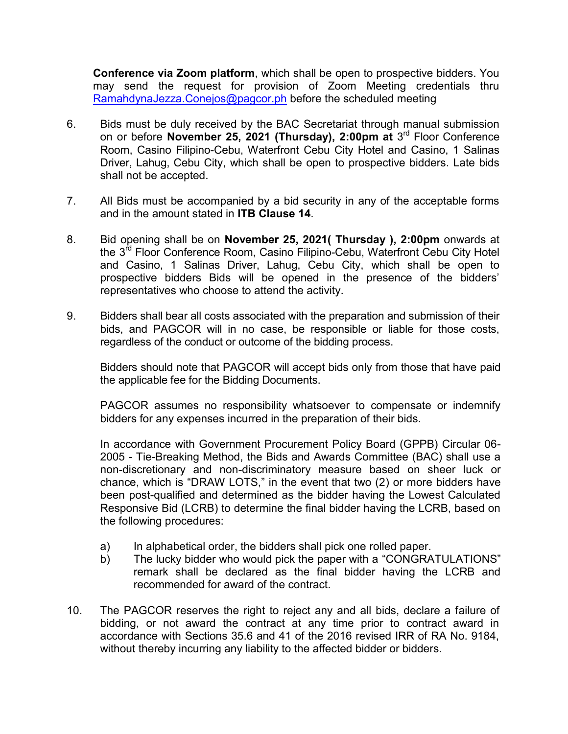**Conference via Zoom platform**, which shall be open to prospective bidders. You may send the request for provision of Zoom Meeting credentials thru [RamahdynaJezza.Conejos@pagcor.ph](mailto:RamahdynaJezza.Conejos@pagcor.ph) before the scheduled meeting

- 6. Bids must be duly received by the BAC Secretariat through manual submission on or before **November 25, 2021 (Thursday), 2:00pm at** 3 rd Floor Conference Room, Casino Filipino-Cebu, Waterfront Cebu City Hotel and Casino, 1 Salinas Driver, Lahug, Cebu City, which shall be open to prospective bidders. Late bids shall not be accepted.
- 7. All Bids must be accompanied by a bid security in any of the acceptable forms and in the amount stated in **ITB Clause 14**.
- 8. Bid opening shall be on **November 25, 2021( Thursday ), 2:00pm** onwards at the 3<sup>rd</sup> Floor Conference Room, Casino Filipino-Cebu, Waterfront Cebu City Hotel and Casino, 1 Salinas Driver, Lahug, Cebu City, which shall be open to prospective bidders Bids will be opened in the presence of the bidders' representatives who choose to attend the activity.
- 9. Bidders shall bear all costs associated with the preparation and submission of their bids, and PAGCOR will in no case, be responsible or liable for those costs, regardless of the conduct or outcome of the bidding process.

Bidders should note that PAGCOR will accept bids only from those that have paid the applicable fee for the Bidding Documents.

PAGCOR assumes no responsibility whatsoever to compensate or indemnify bidders for any expenses incurred in the preparation of their bids.

In accordance with Government Procurement Policy Board (GPPB) Circular 06- 2005 - Tie-Breaking Method, the Bids and Awards Committee (BAC) shall use a non-discretionary and non-discriminatory measure based on sheer luck or chance, which is "DRAW LOTS," in the event that two (2) or more bidders have been post-qualified and determined as the bidder having the Lowest Calculated Responsive Bid (LCRB) to determine the final bidder having the LCRB, based on the following procedures:

- a) In alphabetical order, the bidders shall pick one rolled paper.
- b) The lucky bidder who would pick the paper with a "CONGRATULATIONS" remark shall be declared as the final bidder having the LCRB and recommended for award of the contract.
- 10. The PAGCOR reserves the right to reject any and all bids, declare a failure of bidding, or not award the contract at any time prior to contract award in accordance with Sections 35.6 and 41 of the 2016 revised IRR of RA No. 9184, without thereby incurring any liability to the affected bidder or bidders.